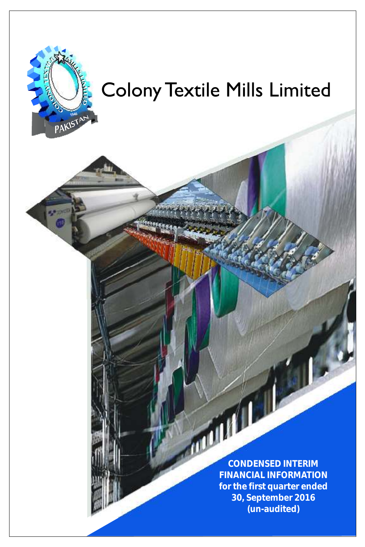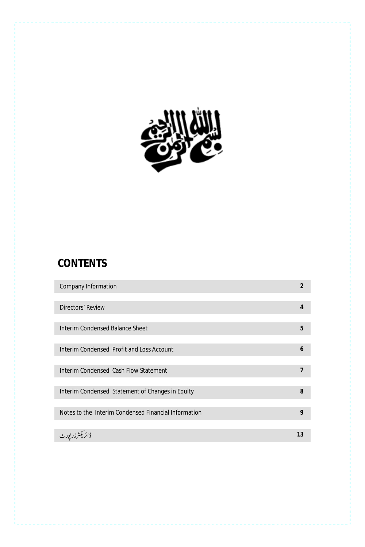

# **CONTENTS**

| Company Information                                  | $\overline{2}$ |
|------------------------------------------------------|----------------|
|                                                      |                |
| Directors' Review                                    | $\overline{4}$ |
|                                                      |                |
| Interim Condensed Balance Sheet                      | 5              |
|                                                      |                |
| Interim Condensed Profit and Loss Account            | 6              |
|                                                      |                |
| Interim Condensed Cash Flow Statement                | $\overline{7}$ |
|                                                      |                |
| Interim Condensed Statement of Changes in Equity     | 8              |
|                                                      |                |
| Notes to the Interim Condensed Financial Information | 9              |
|                                                      |                |
| م زر بور <sub>ٹ</sub>                                | 13             |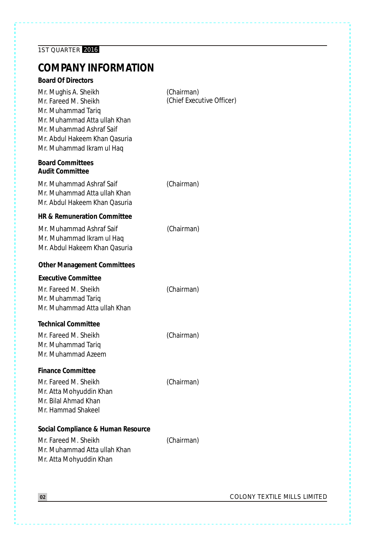# **COMPANY INFORMATION**

| <b>Board Of Directors</b>                                                                                                                                                                    |                                         |
|----------------------------------------------------------------------------------------------------------------------------------------------------------------------------------------------|-----------------------------------------|
| Mr. Mughis A. Sheikh<br>Mr. Fareed M. Sheikh<br>Mr. Muhammad Tariq<br>Mr. Muhammad Atta ullah Khan<br>Mr. Muhammad Ashraf Saif<br>Mr. Abdul Hakeem Khan Oasuria<br>Mr. Muhammad Ikram ul Haq | (Chairman)<br>(Chief Executive Officer) |
| <b>Board Committees</b><br><b>Audit Committee</b>                                                                                                                                            |                                         |
| Mr. Muhammad Ashraf Saif<br>Mr. Muhammad Atta ullah Khan<br>Mr. Abdul Hakeem Khan Oasuria                                                                                                    | (Chairman)                              |
| HR & Remuneration Committee                                                                                                                                                                  |                                         |
| Mr. Muhammad Ashraf Saif<br>Mr. Muhammad Ikram ul Hag<br>Mr. Abdul Hakeem Khan Oasuria                                                                                                       | (Chairman)                              |
| <b>Other Management Committees</b>                                                                                                                                                           |                                         |
| Executive Committee<br>Mr. Fareed M. Sheikh<br>Mr. Muhammad Tariq<br>Mr. Muhammad Atta ullah Khan                                                                                            | (Chairman)                              |
| <b>Technical Committee</b><br>Mr. Fareed M. Sheikh<br>Mr. Muhammad Tarig<br>Mr. Muhammad Azeem                                                                                               | (Chairman)                              |
| <b>Finance Committee</b><br>Mr. Fareed M. Sheikh<br>Mr. Atta Mohyuddin Khan<br>Mr. Bilal Ahmad Khan<br>Mr. Hammad Shakeel                                                                    | (Chairman)                              |
| Social Compliance & Human Resource<br>Mr. Fareed M. Sheikh<br>Mr. Muhammad Atta ullah Khan<br>Mr. Atta Mohyuddin Khan                                                                        | (Chairman)                              |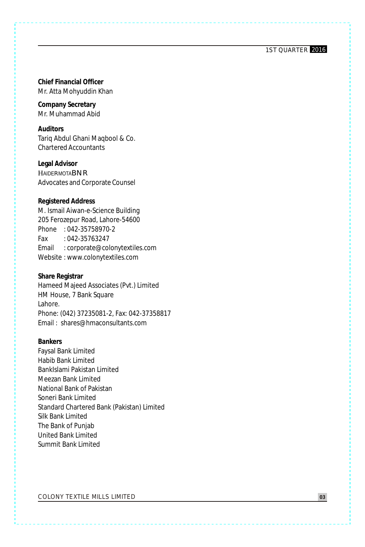**Chief Financial Officer** Mr. Atta Mohyuddin Khan

**Company Secretary** Mr. Muhammad Abid

**Auditors** Tariq Abdul Ghani Maqbool & Co. Chartered Accountants

**Legal Advisor HAIDERMOTABNR** Advocates and Corporate Counsel

**Registered Address**

M. Ismail Aiwan-e-Science Building 205 Ferozepur Road, Lahore-54600 Phone : 042-35758970-2 Fax : 042-35763247 Email : corporate@colonytextiles.com Website : www.colonytextiles.com

**Share Registrar** Hameed Majeed Associates (Pvt.) Limited HM House, 7 Bank Square Lahore. Phone: (042) 37235081-2, Fax: 042-37358817 Email : shares@hmaconsultants.com

**Bankers** Faysal Bank Limited Habib Bank Limited BankIslami Pakistan Limited Meezan Bank Limited National Bank of Pakistan Soneri Bank Limited Standard Chartered Bank (Pakistan) Limited Silk Bank Limited The Bank of Punjab United Bank Limited Summit Bank Limited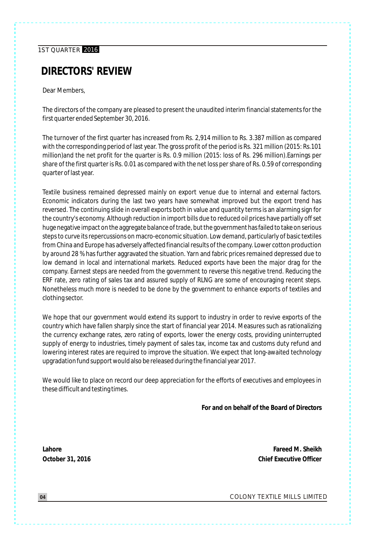## **DIRECTORS' REVIEW**

Dear Members,

The directors of the company are pleased to present the unaudited interim financial statements for the first quarter ended September 30, 2016.

The turnover of the first quarter has increased from Rs. 2,914 million to Rs. 3.387 million as compared with the corresponding period of last year. The gross profit of the period is Rs. 321 million (2015: Rs.101 million)and the net profit for the quarter is Rs. 0.9 million (2015: loss of Rs. 296 million).Earnings per share of the first quarter is Rs. 0.01 as compared with the net loss per share of Rs. 0.59 of corresponding quarter of last year.

Textile business remained depressed mainly on export venue due to internal and external factors. Economic indicators during the last two years have somewhat improved but the export trend has reversed. The continuing slide in overall exports both in value and quantity terms is an alarming sign for the country's economy. Although reduction in import bills due to reduced oil prices have partially off set huge negative impact on the aggregate balance of trade, but the government has failed to take on serious steps to curve its repercussions on macro-economic situation. Low demand, particularly of basic textiles from China and Europe has adversely affected financial results of the company. Lower cotton production by around 28 % has further aggravated the situation. Yarn and fabric prices remained depressed due to low demand in local and international markets. Reduced exports have been the major drag for the company. Earnest steps are needed from the government to reverse this negative trend. Reducing the ERF rate, zero rating of sales tax and assured supply of RLNG are some of encouraging recent steps. Nonetheless much more is needed to be done by the government to enhance exports of textiles and clothing sector.

We hope that our government would extend its support to industry in order to revive exports of the country which have fallen sharply since the start of financial year 2014. Measures such as rationalizing the currency exchange rates, zero rating of exports, lower the energy costs, providing uninterrupted supply of energy to industries, timely payment of sales tax, income tax and customs duty refund and lowering interest rates are required to improve the situation. We expect that long-awaited technology upgradation fund support would also be released during the financial year 2017.

We would like to place on record our deep appreciation for the efforts of executives and employees in these difficult and testing times.

**For and on behalf of the Board of Directors**

**Lahore October 31, 2016**

**Fareed M. Sheikh Chief Executive Officer**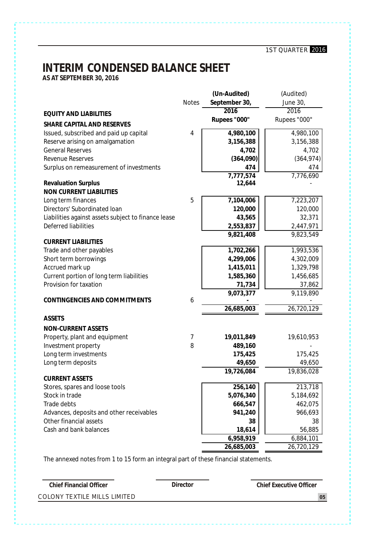# **INTERIM CONDENSED BALANCE SHEET**

**AS AT SEPTEMBER 30, 2016**

|                                                     |              | (Un-Audited)  | (Audited)    |
|-----------------------------------------------------|--------------|---------------|--------------|
|                                                     | <b>Notes</b> | September 30, | June 30,     |
| <b>EQUITY AND LIABILITIES</b>                       |              | 2016          | 2016         |
| SHARE CAPITAL AND RESERVES                          |              | Rupees "000"  | Rupees "000" |
| Issued, subscribed and paid up capital              | 4            | 4,980,100     | 4,980,100    |
| Reserve arising on amalgamation                     |              | 3,156,388     | 3,156,388    |
| <b>General Reserves</b>                             |              | 4,702         | 4,702        |
| Revenue Reserves                                    |              | (364,090)     | (364, 974)   |
| Surplus on remeasurement of investments             |              | 474           | 474          |
|                                                     |              | 7.777.574     | 7,776,690    |
| <b>Revaluation Surplus</b>                          |              | 12,644        |              |
| NON CURRENT LIABILITIES                             |              |               |              |
| Long term finances                                  | 5            | 7,104,006     | 7,223,207    |
| Directors' Subordinated Ioan                        |              | 120,000       | 120,000      |
| Liabilities against assets subject to finance lease |              | 43,565        | 32,371       |
| Deferred liabilities                                |              | 2,553,837     | 2,447,971    |
| <b>CURRENT LIABILITIES</b>                          |              | 9,821,408     | 9,823,549    |
| Trade and other payables                            |              | 1,702,266     | 1,993,536    |
| Short term borrowings                               |              | 4,299,006     | 4,302,009    |
| Accrued mark up                                     |              | 1,415,011     | 1,329,798    |
| Current portion of long term liabilities            |              | 1,585,360     | 1,456,685    |
| Provision for taxation                              |              | 71,734        | 37,862       |
|                                                     |              | 9,073,377     | 9,119,890    |
| CONTINGENCIES AND COMMITMENTS                       | 6            |               |              |
|                                                     |              | 26,685,003    | 26,720,129   |
| <b>ASSETS</b>                                       |              |               |              |
| <b>NON-CURRENT ASSETS</b>                           |              |               |              |
| Property, plant and equipment                       | 7            | 19,011,849    | 19,610,953   |
| Investment property                                 | 8            | 489,160       |              |
| Long term investments                               |              | 175,425       | 175,425      |
| Long term deposits                                  |              | 49,650        | 49,650       |
| <b>CURRENT ASSETS</b>                               |              | 19,726,084    | 19,836,028   |
| Stores, spares and loose tools                      |              | 256,140       | 213,718      |
| Stock in trade                                      |              | 5,076,340     | 5,184,692    |
| Trade debts                                         |              | 666,547       | 462,075      |
| Advances, deposits and other receivables            |              | 941,240       | 966,693      |
| Other financial assets                              |              | 38            | 38           |
| Cash and bank balances                              |              | 18,614        | 56,885       |
|                                                     |              | 6,958,919     | 6,884,101    |
|                                                     |              | 26,685,003    | 26,720,129   |

The annexed notes from 1 to 15 form an integral part of these financial statements.

| Chief Financial Officer      | Director | Chief Executive Officer |
|------------------------------|----------|-------------------------|
| COLONY TEXTILE MILLS LIMITED |          | 0 <sub>5</sub>          |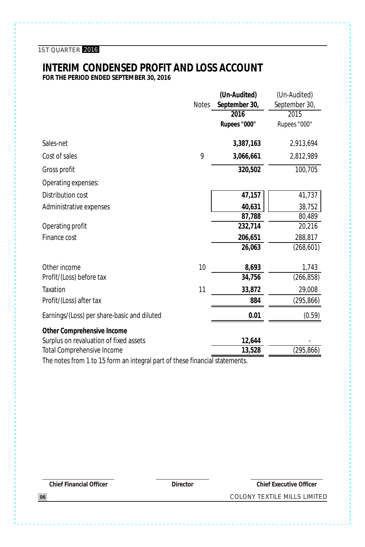#### **INTERIM CONDENSED PROFIT AND LOSS ACCOUNT FOR THE PERIOD ENDED SEPTEMBER 30, 2016**

**(Un-Audited)** (Un-Audited) Notes **September 30,** September 30, **2016** 2015 **Rupees "000"** Rupees "000" Sales-net **3,387,163** 2,913,694 Cost of sales 9 **3,066,661** 2,812,989 Gross profit **320,502** 100,705 Operating expenses: Distribution cost **47,157** 41,737 Administrative expenses **40,631** 38,752 **87,788** 80,489 Operating profit **232,714** 20,216 Finance cost **206,651** 288,817 **26,063** (268,601) Other income 10 **8,693** 1,743 Profit/(Loss) before tax **34,756** (266,858) Taxation 11 **33,872** 29,008 Profit/(Loss) after tax **884** (295,866) Earnings/(Loss) per share-basic and diluted **0.01** (0.59) **Other Comprehensive Income** Surplus on revaluation of fixed assets **12,644** Total Comprehensive Income **13,528** (295,866)

The notes from 1 to 15 form an integral part of these financial statements.

**Chief Financial Officer Director Chief Executive Officer**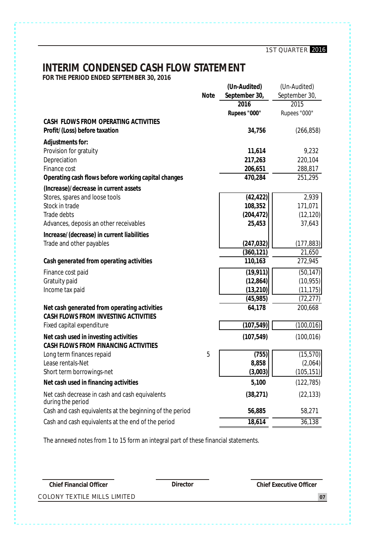# **INTERIM CONDENSED CASH FLOW STATEMENT**

**FOR THE PERIOD ENDED SEPTEMBER 30, 2016**

|                                                                       | Note | (Un-Audited)<br>September 30, | (Un-Audited)<br>September 30, |
|-----------------------------------------------------------------------|------|-------------------------------|-------------------------------|
|                                                                       |      | 2016                          | 2015                          |
|                                                                       |      | Rupees "000"                  | Rupees "000"                  |
| CASH FLOWS FROM OPERATING ACTIVITIES<br>Profit/(Loss) before taxation |      | 34,756                        | (266, 858)                    |
| Adjustments for:                                                      |      |                               |                               |
| Provision for gratuity                                                |      | 11,614                        | 9,232                         |
| Depreciation                                                          |      | 217,263                       | 220,104                       |
| Finance cost                                                          |      | 206,651                       | 288,817                       |
| Operating cash flows before working capital changes                   |      | 470.284                       | 251,295                       |
| (Increase)/decrease in current assets                                 |      |                               |                               |
| Stores, spares and loose tools                                        |      | (42, 422)                     | 2,939                         |
| Stock in trade                                                        |      | 108,352                       | 171,071                       |
| Trade debts                                                           |      | (204, 472)                    | (12, 120)                     |
| Advances, deposis an other receivables                                |      | 25,453                        | 37,643                        |
| Increase/(decrease) in current liabilities                            |      |                               |                               |
| Trade and other payables                                              |      | (247, 032)                    | (177, 883)                    |
|                                                                       |      | (360, 121)                    | 21,650                        |
| Cash generated from operating activities                              |      | 110,163                       | 272,945                       |
| Finance cost paid                                                     |      | (19, 911)                     | (50, 147)                     |
| Gratuity paid                                                         |      | (12, 864)                     | (10, 955)                     |
| Income tax paid                                                       |      | (13, 210)                     | (11, 175)                     |
|                                                                       |      | (45, 985)                     | (72,277)                      |
| Net cash generated from operating activities                          |      | 64,178                        | 200,668                       |
| CASH FLOWS FROM INVESTING ACTIVITIES                                  |      |                               |                               |
| Fixed capital expenditure                                             |      | (107, 549)                    | (100, 016)                    |
| Net cash used in investing activities                                 |      | (107, 549)                    | (100, 016)                    |
| CASH FLOWS FROM FINANCING ACTIVITIES                                  |      |                               |                               |
| Long term finances repaid                                             | 5    | (755)                         | (15, 570)                     |
| Lease rentals-Net                                                     |      | 8,858                         | (2,064)                       |
| Short term borrowings-net                                             |      | (3,003)                       | (105, 151)                    |
| Net cash used in financing activities                                 |      | 5,100                         | (122, 785)                    |
| Net cash decrease in cash and cash equivalents<br>during the period   |      | (38, 271)                     | (22, 133)                     |
| Cash and cash equivalents at the beginning of the period              |      | 56,885                        | 58,271                        |
| Cash and cash equivalents at the end of the period                    |      | 18,614                        | 36,138                        |

The annexed notes from 1 to 15 form an integral part of these financial statements.

**Chief Financial Officer Director Director Director Chief Executive Officer**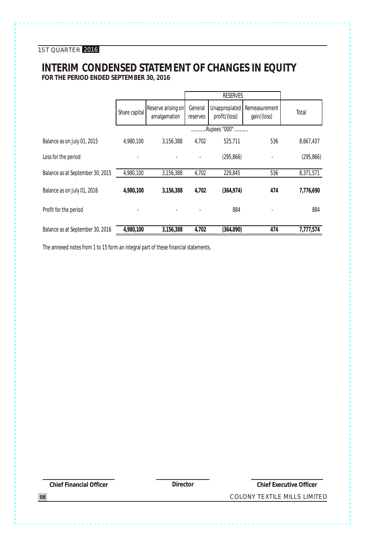### **INTERIM CONDENSED STATEMENT OF CHANGES IN EQUITY FOR THE PERIOD ENDED SEPTEMBER 30, 2016**

|                                  |               |                                    |                     | <b>RESERVES</b>                |                              |            |
|----------------------------------|---------------|------------------------------------|---------------------|--------------------------------|------------------------------|------------|
|                                  | Share capital | Reserve arising on<br>amalgamation | General<br>reserves | Unappropiated<br>profit/(loss) | Remeasurement<br>qain/(loss) | Total      |
|                                  |               |                                    |                     | .Rupees "000"                  |                              |            |
| Balance as on July 01, 2015      | 4,980,100     | 3.156.388                          | 4,702               | 525,711                        | 536                          | 8,667,437  |
| Loss for the period              |               |                                    |                     | (295, 866)                     |                              | (295, 866) |
| Balance as at September 30, 2015 | 4,980,100     | 3,156,388                          | 4,702               | 229,845                        | 536                          | 8,371,571  |
| Balance as on July 01, 2016      | 4,980,100     | 3,156,388                          | 4.702               | (364, 974)                     | 474                          | 7,776,690  |
| Profit for the period            |               |                                    |                     | 884                            |                              | 884        |
| Balance as at September 30, 2016 | 4,980,100     | 3,156,388                          | 4,702               | (364,090)                      | 474                          | 7,777,574  |

The annexed notes from 1 to 15 form an integral part of these financial statements.

**Chief Financial Officer Director Chief Executive Officer**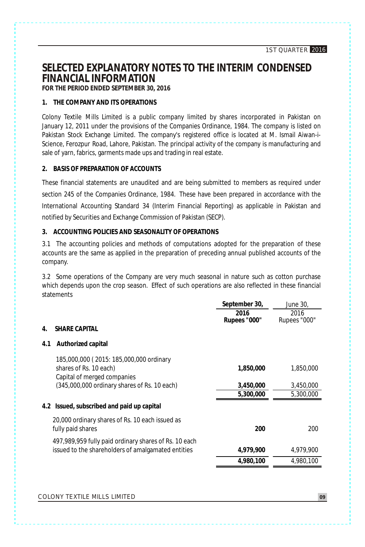# **SELECTED EXPLANATORY NOTES TO THE INTERIM CONDENSED FINANCIAL INFORMATION**

**FOR THE PERIOD ENDED SEPTEMBER 30, 2016**

#### **1. THE COMPANY AND ITS OPERATIONS**

Colony Textile Mills Limited is a public company limited by shares incorporated in Pakistan on January 12, 2011 under the provisions of the Companies Ordinance, 1984. The company is listed on Pakistan Stock Exchange Limited. The company's registered office is located at M. Ismail Aiwan-i-Science, Ferozpur Road, Lahore, Pakistan. The principal activity of the company is manufacturing and sale of yarn, fabrics, garments made ups and trading in real estate.

#### **2. BASIS OF PREPARATION OF ACCOUNTS**

These financial statements are unaudited and are being submitted to members as required under section 245 of the Companies Ordinance, 1984. These have been prepared in accordance with the International Accounting Standard 34 (Interim Financial Reporting) as applicable in Pakistan and notified by Securities and Exchange Commission of Pakistan (SECP).

#### **3. ACCOUNTING POLICIES AND SEASONALITY OF OPERATIONS**

3.1 The accounting policies and methods of computations adopted for the preparation of these accounts are the same as applied in the preparation of preceding annual published accounts of the company.

3.2 Some operations of the Company are very much seasonal in nature such as cotton purchase which depends upon the crop season. Effect of such operations are also reflected in these financial statements

| 2016<br>2016<br>Rupees "000"<br>Rupees "000"                                 |
|------------------------------------------------------------------------------|
|                                                                              |
|                                                                              |
|                                                                              |
| 185,000,000 (2015: 185,000,000 ordinary                                      |
| 1,850,000<br>1,850,000                                                       |
|                                                                              |
| (345,000,000 ordinary shares of Rs. 10 each)<br>3,450,000<br>3,450,000       |
| 5,300,000<br>5,300,000                                                       |
| 4.2 Issued, subscribed and paid up capital                                   |
|                                                                              |
| 200<br>200                                                                   |
| 497,989,959 fully paid ordinary shares of Rs. 10 each                        |
| issued to the shareholders of amalgamated entities<br>4,979,900<br>4.979.900 |
| 4,980,100<br>4,980,100                                                       |
| 20,000 ordinary shares of Rs. 10 each issued as                              |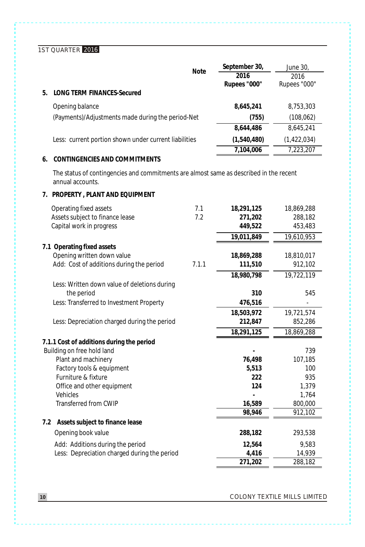|                                                                                                            | <b>Note</b> | September 30,  | June 30,     |
|------------------------------------------------------------------------------------------------------------|-------------|----------------|--------------|
|                                                                                                            |             | 2016           | 2016         |
| <b>LONG TERM FINANCES-Secured</b><br>5.                                                                    |             | Rupees "000"   | Rupees "000" |
|                                                                                                            |             |                |              |
| Opening balance                                                                                            |             | 8,645,241      | 8,753,303    |
| (Payments)/Adjustments made during the period-Net                                                          |             | (755)          | (108, 062)   |
|                                                                                                            |             | 8,644,486      | 8,645,241    |
| Less: current portion shown under current liabilities                                                      |             | (1,540,480)    | (1,422,034)  |
|                                                                                                            |             | 7,104,006      | 7,223,207    |
| CONTINGENCIES AND COMMITMENTS<br>6.                                                                        |             |                |              |
| The status of contingencies and commitments are almost same as described in the recent<br>annual accounts. |             |                |              |
| 7. PROPERTY, PLANT AND EQUIPMENT                                                                           |             |                |              |
| Operating fixed assets                                                                                     | 7.1         | 18,291,125     | 18,869,288   |
| Assets subject to finance lease                                                                            | 7.2         | 271,202        | 288,182      |
| Capital work in progress                                                                                   |             | 449,522        | 453,483      |
|                                                                                                            |             | 19,011,849     | 19,610,953   |
| 7.1 Operating fixed assets                                                                                 |             |                |              |
| Opening written down value                                                                                 |             | 18,869,288     | 18,810,017   |
| Add: Cost of additions during the period                                                                   | 7.1.1       | 111,510        | 912,102      |
|                                                                                                            |             | 18,980,798     | 19,722,119   |
| Less: Written down value of deletions during                                                               |             |                | 545          |
| the period<br>Less: Transferred to Investment Property                                                     |             | 310<br>476,516 |              |
|                                                                                                            |             | 18,503,972     | 19,721,574   |
| Less: Depreciation charged during the period                                                               |             | 212,847        | 852,286      |
|                                                                                                            |             | 18,291,125     | 18,869,288   |
| 7.1.1 Cost of additions during the period                                                                  |             |                |              |
| Building on free hold land                                                                                 |             |                | 739          |
| Plant and machinery                                                                                        |             | 76,498         | 107,185      |
| Factory tools & equipment                                                                                  |             | 5,513          | 100          |
| Furniture & fixture                                                                                        |             | 222            | 935          |
| Office and other equipment                                                                                 |             | 124            | 1,379        |
| <b>Vehicles</b>                                                                                            |             |                | 1,764        |
| <b>Transferred from CWIP</b>                                                                               |             | 16,589         | 800,000      |
|                                                                                                            |             | 98,946         | 912,102      |
| 7.2 Assets subject to finance lease                                                                        |             |                |              |
| Opening book value                                                                                         |             | 288,182        | 293,538      |
| Add: Additions during the period                                                                           |             | 12.564         | 9,583        |
| Less: Depreciation charged during the period                                                               |             | 4,416          | 14,939       |
|                                                                                                            |             | 271.202        | 288,182      |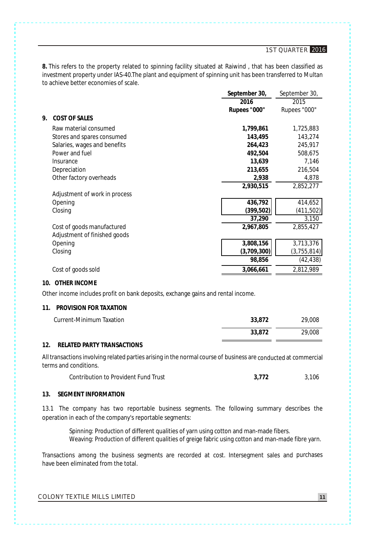**8.** This refers to the property related to spinning facility situated at Raiwind , that has been classified as investment property under IAS-40.The plant and equipment of spinning unit has been transferred to Multan<br>to achieve better economies of scale to achieve better economies of scale.

|                               | September 30, | September 30, |
|-------------------------------|---------------|---------------|
|                               | 2016          | 2015          |
|                               | Rupees "000"  | Rupees "000"  |
| 9.<br>COST OF SALES           |               |               |
| Raw material consumed         | 1,799,861     | 1,725,883     |
| Stores and spares consumed    | 143,495       | 143,274       |
| Salaries, wages and benefits  | 264,423       | 245,917       |
| Power and fuel                | 492,504       | 508,675       |
| Insurance                     | 13,639        | 7,146         |
| Depreciation                  | 213.655       | 216,504       |
| Other factory overheads       | 2,938         | 4,878         |
|                               | 2,930,515     | 2,852,277     |
| Adjustment of work in process |               |               |
| Opening                       | 436,792       | 414,652       |
| Closing                       | (399, 502)    | (411,502)     |
|                               | 37,290        | 3,150         |
| Cost of goods manufactured    | 2,967,805     | 2,855,427     |
| Adjustment of finished goods  |               |               |
| Opening                       | 3,808,156     | 3,713,376     |
| Closing                       | (3,709,300)   | (3, 755, 814) |
|                               | 98,856        | (42,438)      |
| Cost of goods sold            | 3,066,661     | 2,812,989     |

#### **10. OTHER INCOME**

Other income includes profit on bank deposits, exchange gains and rental income.

#### **11. PROVISION FOR TAXATION**

| Current-Minimum Taxation | 33.872 | 29.008 |
|--------------------------|--------|--------|
|                          | 33.872 | 29,008 |

#### **12. RELATED PARTY TRANSACTIONS**

Alltransactions involving related parties arising in the normal course of business are conducted at commercial terms and conditions.

|  | Contribution to Provident Fund Trust | 3.772 | 3,106 |
|--|--------------------------------------|-------|-------|
|--|--------------------------------------|-------|-------|

#### **13. SEGMENT INFORMATION**

13.1 The company has two reportable business segments. The following summary describes the operation in each of the company's reportable segments:

Spinning: Production of different qualities of yarn using cotton and man-made fibers. Weaving: Production of different qualities of greige fabric using cotton and man-made fibre yarn.

Transactions among the business segments are recorded at cost. Intersegment sales and purchases have been eliminated from the total.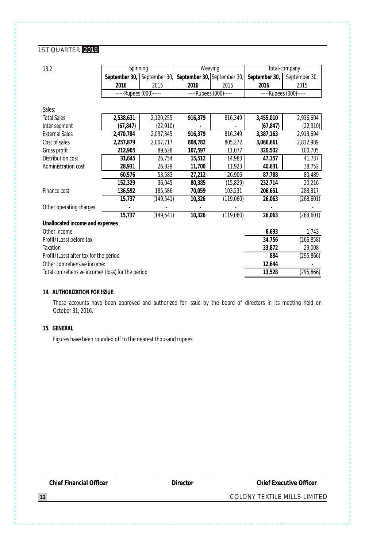| 13.2                                             | Spinning               |               | Weaving                     |           |               | Total-company          |
|--------------------------------------------------|------------------------|---------------|-----------------------------|-----------|---------------|------------------------|
|                                                  | September 30,          | September 30, | September 30, September 30, |           | September 30, | September 30,          |
|                                                  | 2016                   | 2015          | 2016                        | 2015      | 2016          | 2015                   |
|                                                  | -----Rupees (000)----- |               | -----Rupees (000)-----      |           |               | -----Rupees (000)----- |
|                                                  |                        |               |                             |           |               |                        |
| Sales:                                           |                        |               |                             |           |               |                        |
| <b>Total Sales</b>                               | 2,538,631              | 2,120,255     | 916,379                     | 816,349   | 3,455,010     | 2,936,604              |
| Inter segment                                    | (67, 847)              | (22, 910)     |                             |           | (67, 847)     | (22, 910)              |
| <b>External Sales</b>                            | 2,470,784              | 2,097,345     | 916,379                     | 816,349   | 3,387,163     | 2,913,694              |
| Cost of sales                                    | 2,257,879              | 2,007,717     | 808,782                     | 805,272   | 3,066,661     | 2,812,989              |
| Gross profit                                     | 212,905                | 89,628        | 107,597                     | 11,077    | 320,502       | 100,705                |
| Distribution cost                                | 31,645                 | 26,754        | 15,512                      | 14,983    | 47,157        | 41,737                 |
| Administration cost                              | 28,931                 | 26,829        | 11,700                      | 11,923    | 40,631        | 38,752                 |
|                                                  | 60,576                 | 53,583        | 27,212                      | 26,906    | 87,788        | 80,489                 |
|                                                  | 152,329                | 36,045        | 80,385                      | (15, 829) | 232,714       | 20,216                 |
| Finance cost                                     | 136,592                | 185,586       | 70,059                      | 103,231   | 206,651       | 288,817                |
|                                                  | 15,737                 | (149, 541)    | 10,326                      | (119,060) | 26,063        | (268, 601)             |
| Other operating charges                          |                        |               |                             |           |               |                        |
|                                                  | 15,737                 | (149, 541)    | 10,326                      | (119,060) | 26,063        | (268, 601)             |
| Unallocated income and expenses                  |                        |               |                             |           |               |                        |
| Other income                                     |                        |               |                             |           | 8,693         | 1,743                  |
| Profit/(Loss) before tax                         |                        |               |                             |           | 34,756        | (266, 858)             |
| Taxation                                         |                        |               |                             |           | 33,872        | 29,008                 |
| Profit/(Loss) after tax for the period           |                        |               |                             |           | 884           | (295, 866)             |
| Other comrehensive income:                       |                        |               |                             |           | 12,644        |                        |
| Total comrehensive income/ (loss) for the period |                        |               |                             |           | 13,528        | (295, 866)             |

#### **14. AUTHORIZATION FOR ISSUE**

These accounts have been approved and authorized for issue by the board of directors in its meeting held on October 31, 2016.

#### **15. GENERAL**

Figures have been rounded off to the nearest thousand rupees.

**Chief Financial Officer Director Chief Executive Officer**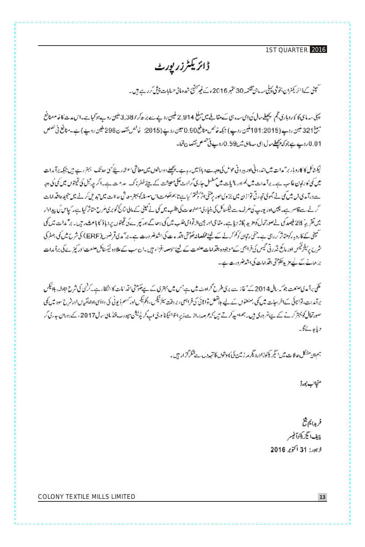# ڈائریکٹرزر یورٹ

سىمپىنى كەۋائۇ يېشران بخۇشى كېيلىپ مان تقتىپە 30 مىتېبر 2016 ەڭ قىيرتىقى شەھەلى ھىلابات يىقى كىرە ھەجن بە

يجل سدماى كاروبارى قجم يجصل سال فى إتماسه، أقات مقاليل مع برنغ 2,914 ليين رويدت برَّه كر 3,387 ملين رويد بوتوليات ساس مدسنا خاصة معنافع مبينغ21 كيس روپ (101:2015 كيس روپ) جيكہ توانس منافع 0.90 تيس روپے (2015: غالس نقصان 298 طين روپ) ہے۔منافع في تصل 0.01 دوپے ہے جو کہ پیکلے مال إی سدمائی شرا 0.59 دوپے فی حصص تحصا تاتھا۔

نیکنٹائل کا کاروبار برآمدات میں اندرو ٹی اور بیروٹی عواض کی دہب ہے ایک پی اس کی استعاشی اسٹار کے کہ حد تک ایم رہے ہیں بجکہ برآمدات میں کی کارتھان غالب ہے۔ برآ مدات میں فھراور مالیات میں سلسل حاری گراوٹ کلی معیشت کے لینئے قطر پاک عدامت ہے۔اگر جہ تیل کی تھوں میں کمی کی ہیر ے درآمدی فن میں کی لئے بھوتی تھارٹی نواز لا میں جزوی طور پر پنتی (شریفتین) سے ناجھ کھوتی سے میں اس میں اہم کی کرنے ہیں میں اقدامات کرنے سے قاصر ہے۔ چین اور نورپ کیا طرف سے ٹیکسٹاگل کی بنیاد کی مصنوعات کی طلب جو کچی نے کمپٹی کے مال کی کچھ کرکھتا ہے۔ کیاس کی بیداوار جیں تقریہٗ 28 فیصد کی نے معورتھال کو میں پلاڑ دیا ہے۔ متنامی اور جین لائوامی طلب میں کی بیٹھان کے انتخابی میں فیصول کے بیٹ کی میں اس میں کی ئىپنى كەكارە بەركىيىناتر كەردى سەيدىننى رتان كۆنمىكەپ كىيىنىشلىغاندىكى تارەپ كى اشدىغىرورىتە ہے، برائدى كى قرىسل (ERF) كى شرخ مىسكى بىلغا كى شرح رسلزتھس اور مائع قدرتی گیس کی فراہمی کے موجود واقدامات هنعت کے لیئے حوصلہ اقواء ہیں یا ساسپ کے علاوہ نئیسٹاکر هنعت اور کیزے کی برآ بدات یز عباقے کے لیے متر پر تیکو پتی اقدامات کی اشد ضرورت ہے۔

ئلگی: ماکہ پی صنعت جوکہ سال 2014 کے تھا نہ سے پری طرح کراوٹ میں ہے جس میں بہتری کے لیے تعویمی اقدامات کا انتظار ہے کہ ٹن ٹی شرح تبادلہ، ہلائیکس یرآمدات، نوانائی کےاشراحات میں کی بسنعنوں کے لیے واقعنی والائی کی فراہمی، پر وقت پلزٹیکس اور سلم ڈیوٹی کی دائیں ادایشیاں اورشرح سود میں کی صورتھال کو پہنز کرتے گئے ہے شروری ہیں۔ جماد بیڈ کرتے ہیں کھڑھیدراز ہے زیر انڈا کیکنالورٹی اپنے اپنے پہندرت فنڈ مالی سال 2017ء کے دوران جارتی کر دياجات كاكمه

جمهون منشكل حالات میش انتیكر یکوترا ورونگر مار زشت کی کاوشول کا تهدد ل سے شکر کرتے ار ہیں۔

منجانب بورڈ

فريدا يم فخ چف انگریکوآفیسر لابور: 31 أكتوبر 2016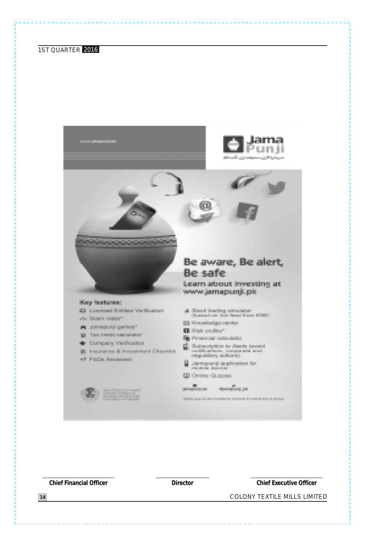

**Chief Financial Officer Director Chief Executive Officer**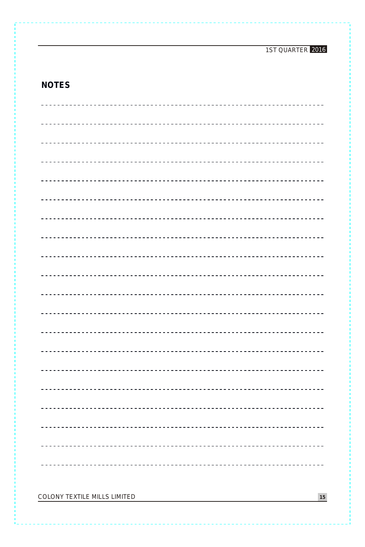## **NOTES**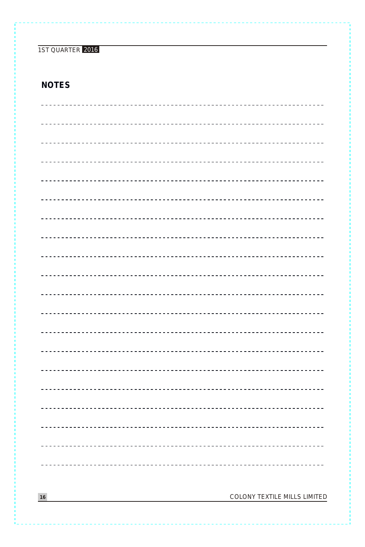### **NOTES**

| COLONY TEXTILE MILLS LIMITED<br>16 |
|------------------------------------|